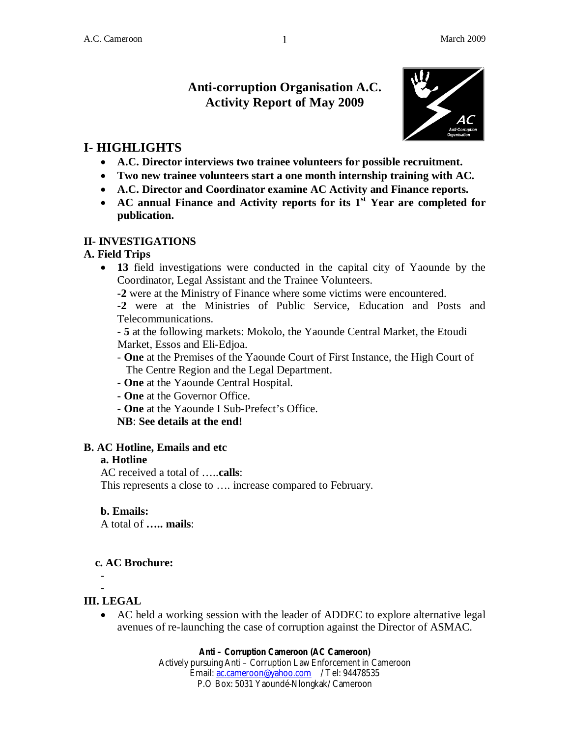# **Anti-corruption Organisation A.C. Activity Report of May 2009**



# **I- HIGHLIGHTS**

- **A.C. Director interviews two trainee volunteers for possible recruitment.**
- **Two new trainee volunteers start a one month internship training with AC.**
- **A.C. Director and Coordinator examine AC Activity and Finance reports.**
- **AC annual Finance and Activity reports for its 1st Year are completed for publication.**

### **II- INVESTIGATIONS**

### **A. Field Trips**

- **13** field investigations were conducted in the capital city of Yaounde by the Coordinator, Legal Assistant and the Trainee Volunteers.
	- **-2** were at the Ministry of Finance where some victims were encountered.
	- -**2** were at the Ministries of Public Service, Education and Posts and Telecommunications.

- **5** at the following markets: Mokolo, the Yaounde Central Market, the Etoudi Market, Essos and Eli-Edjoa.

- **One** at the Premises of the Yaounde Court of First Instance, the High Court of The Centre Region and the Legal Department.
- **One** at the Yaounde Central Hospital.
- **One** at the Governor Office.
- **One** at the Yaounde I Sub-Prefect's Office.

**NB**: **See details at the end!**

## **B. AC Hotline, Emails and etc**

## **a. Hotline**

AC received a total of …..**calls**:

This represents a close to …. increase compared to February.

#### **b. Emails:**

A total of **….. mails**:

## **c. AC Brochure:**

-

 - **III. LEGAL**

> AC held a working session with the leader of ADDEC to explore alternative legal avenues of re-launching the case of corruption against the Director of ASMAC.

#### **Anti – Corruption Cameroon (AC Cameroon)**

Actively pursuing Anti – Corruption Law Enforcement in Cameroon Email: ac.cameroon@yahoo.com / Tel: 94478535 P.O Box: 5031 Yaoundé-Nlongkak/ Cameroon

1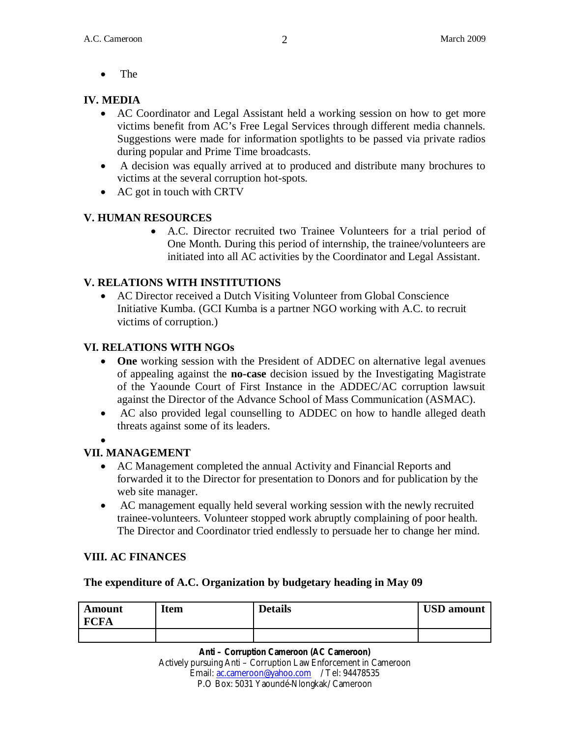• The

## **IV. MEDIA**

- AC Coordinator and Legal Assistant held a working session on how to get more victims benefit from AC's Free Legal Services through different media channels. Suggestions were made for information spotlights to be passed via private radios during popular and Prime Time broadcasts.
- A decision was equally arrived at to produced and distribute many brochures to victims at the several corruption hot-spots.
- AC got in touch with CRTV

## **V. HUMAN RESOURCES**

 A.C. Director recruited two Trainee Volunteers for a trial period of One Month. During this period of internship, the trainee/volunteers are initiated into all AC activities by the Coordinator and Legal Assistant.

## **V. RELATIONS WITH INSTITUTIONS**

 AC Director received a Dutch Visiting Volunteer from Global Conscience Initiative Kumba. (GCI Kumba is a partner NGO working with A.C. to recruit victims of corruption.)

## **VI. RELATIONS WITH NGOs**

- **One** working session with the President of ADDEC on alternative legal avenues of appealing against the **no-case** decision issued by the Investigating Magistrate of the Yaounde Court of First Instance in the ADDEC/AC corruption lawsuit against the Director of the Advance School of Mass Communication (ASMAC).
- AC also provided legal counselling to ADDEC on how to handle alleged death threats against some of its leaders.
- $\bullet$

## **VII. MANAGEMENT**

- AC Management completed the annual Activity and Financial Reports and forwarded it to the Director for presentation to Donors and for publication by the web site manager.
- AC management equally held several working session with the newly recruited trainee-volunteers. Volunteer stopped work abruptly complaining of poor health. The Director and Coordinator tried endlessly to persuade her to change her mind.

## **VIII. AC FINANCES**

## **The expenditure of A.C. Organization by budgetary heading in May 09**

| Amount<br><b>FCFA</b> | <b>Item</b> | <b>Details</b> | <b>USD</b> amount |
|-----------------------|-------------|----------------|-------------------|
|                       |             |                |                   |

#### **Anti – Corruption Cameroon (AC Cameroon)**

Actively pursuing Anti – Corruption Law Enforcement in Cameroon Email: ac.cameroon@yahoo.com / Tel: 94478535 P.O Box: 5031 Yaoundé-Nlongkak/ Cameroon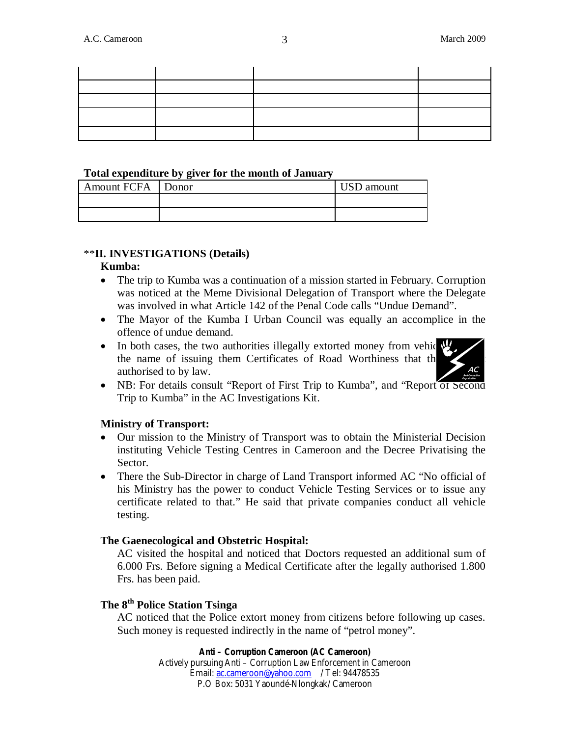#### **Total expenditure by giver for the month of January**

| <b>Amount FCFA</b> | Donor | USD amount |
|--------------------|-------|------------|
|                    |       |            |
|                    |       |            |

#### \*\***II. INVESTIGATIONS (Details)**

#### **Kumba:**

- The trip to Kumba was a continuation of a mission started in February. Corruption was noticed at the Meme Divisional Delegation of Transport where the Delegate was involved in what Article 142 of the Penal Code calls "Undue Demand".
- The Mayor of the Kumba I Urban Council was equally an accomplice in the offence of undue demand.
- $\bullet$  In both cases, the two authorities illegally extorted money from vehic the name of issuing them Certificates of Road Worthiness that the authorised to by law.



 NB: For details consult "Report of First Trip to Kumba", and "Report of Second Trip to Kumba" in the AC Investigations Kit.

#### **Ministry of Transport:**

- Our mission to the Ministry of Transport was to obtain the Ministerial Decision instituting Vehicle Testing Centres in Cameroon and the Decree Privatising the Sector.
- There the Sub-Director in charge of Land Transport informed AC "No official of his Ministry has the power to conduct Vehicle Testing Services or to issue any certificate related to that." He said that private companies conduct all vehicle testing.

#### **The Gaenecological and Obstetric Hospital:**

AC visited the hospital and noticed that Doctors requested an additional sum of 6.000 Frs. Before signing a Medical Certificate after the legally authorised 1.800 Frs. has been paid.

#### **The 8th Police Station Tsinga**

AC noticed that the Police extort money from citizens before following up cases. Such money is requested indirectly in the name of "petrol money".

> **Anti – Corruption Cameroon (AC Cameroon)** Actively pursuing Anti – Corruption Law Enforcement in Cameroon Email: ac.cameroon@yahoo.com / Tel: 94478535 P.O Box: 5031 Yaoundé-Nlongkak/ Cameroon